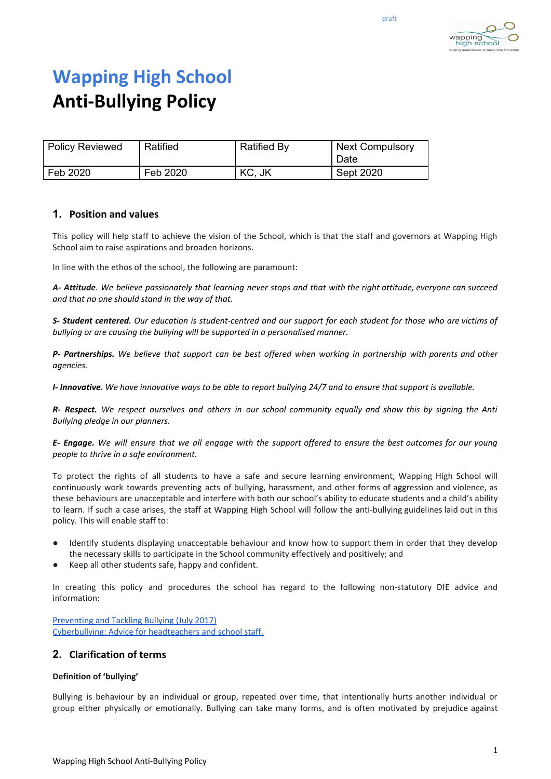

# **Wapping High School Anti-Bullying Policy**

| <b>Policy Reviewed</b> | Ratified | <b>Ratified By</b> | Next Compulsory<br>Date |
|------------------------|----------|--------------------|-------------------------|
| Feb 2020               | Feb 2020 | KC, JK             | Sept 2020               |

# **1. Position and values**

This policy will help staff to achieve the vision of the School, which is that the staff and governors at Wapping High School aim to raise aspirations and broaden horizons.

In line with the ethos of the school, the following are paramount:

A- Attitude. We believe passionately that learning never stops and that with the right attitude, everyone can succeed *and that no one should stand in the way of that.*

S- Student centered. Our education is student-centred and our support for each student for those who are victims of *bullying or are causing the bullying will be supported in a personalised manner.*

P- Partnerships. We believe that support can be best offered when working in partnership with parents and other *agencies.*

I- Innovative. We have innovative ways to be able to report bullying 24/7 and to ensure that support is available.

R- Respect. We respect ourselves and others in our school community equally and show this by signing the Anti *Bullying pledge in our planners.*

**E- Engage.** We will ensure that we all engage with the support offered to ensure the best outcomes for our young *people to thrive in a safe environment.*

To protect the rights of all students to have a safe and secure learning environment, Wapping High School will continuously work towards preventing acts of bullying, harassment, and other forms of aggression and violence, as these behaviours are unacceptable and interfere with both our school's ability to educate students and a child's ability to learn. If such a case arises, the staff at Wapping High School will follow the anti-bullying guidelines laid out in this policy. This will enable staff to:

- Identify students displaying unacceptable behaviour and know how to support them in order that they develop the necessary skills to participate in the School community effectively and positively; and
- Keep all other students safe, happy and confident.

In creating this policy and procedures the school has regard to the following non-statutory DfE advice and information:

[Preventing](https://assets.publishing.service.gov.uk/government/uploads/system/uploads/attachment_data/file/623895/Preventing_and_tackling_bullying_advice.pdf) and Tackling Bullying (July 2017) [Cyberbullying:](https://www.gov.uk/government/uploads/system/uploads/attachment_data/file/374850/Cyberbullying_Advice_for_Headteachers_and_School_Staff_121114.pdf) Advice for headteachers and school staff.

# **2. Clarification of terms**

## **Definition of 'bullying'**

Bullying is behaviour by an individual or group, repeated over time, that intentionally hurts another individual or group either physically or emotionally. Bullying can take many forms, and is often motivated by prejudice against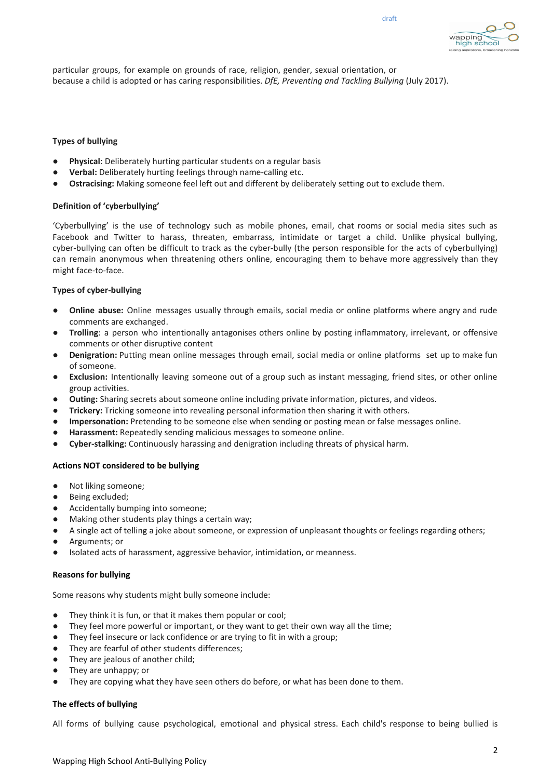

particular groups, for example on grounds of race, religion, gender, sexual orientation, or because a child is adopted or has caring responsibilities. *DfE, Preventing and Tackling Bullying* (July 2017).

#### **Types of bullying**

- **Physical:** Deliberately hurting particular students on a regular basis
- Verbal: Deliberately hurting feelings through name-calling etc.
- **Ostracising:** Making someone feel left out and different by deliberately setting out to exclude them.

## **Definition of 'cyberbullying'**

'Cyberbullying' is the use of technology such as mobile phones, email, chat rooms or social media sites such as Facebook and Twitter to harass, threaten, embarrass, intimidate or target a child. Unlike physical bullying, cyber-bullying can often be difficult to track as the cyber-bully (the person responsible for the acts of cyberbullying) can remain anonymous when threatening others online, encouraging them to behave more aggressively than they might face-to-face.

## **Types of cyber-bullying**

- **Online abuse:** Online messages usually through emails, social media or online platforms where angry and rude comments are exchanged.
- **Trolling**: a person who intentionally antagonises others online by posting inflammatory, irrelevant, or offensive comments or other disruptive content
- **Denigration:** Putting mean online messages through email, social media or online platforms set up to make fun of someone.
- **Exclusion:** Intentionally leaving someone out of a group such as instant messaging, friend sites, or other online group activities.
- **Outing:** Sharing secrets about someone online including private information, pictures, and videos.
- **Trickery:** Tricking someone into revealing personal information then sharing it with others.
- **Impersonation:** Pretending to be someone else when sending or posting mean or false messages online.
- **Harassment:** Repeatedly sending malicious messages to someone online.
- **Cyber-stalking:** Continuously harassing and denigration including threats of physical harm.

## **Actions NOT considered to be bullying**

- Not liking someone;
- Being excluded;
- Accidentally bumping into someone;
- Making other students play things a certain way;
- A single act of telling a joke about someone, or expression of unpleasant thoughts or feelings regarding others;
- Arguments; or
- Isolated acts of harassment, aggressive behavior, intimidation, or meanness.

## **Reasons for bullying**

Some reasons why students might bully someone include:

- They think it is fun, or that it makes them popular or cool;
- They feel more powerful or important, or they want to get their own way all the time;
- They feel insecure or lack confidence or are trying to fit in with a group;
- They are fearful of other students differences;
- They are jealous of another child;
- They are unhappy; or
- They are copying what they have seen others do before, or what has been done to them.

## **The effects of bullying**

All forms of bullying cause psychological, emotional and physical stress. Each child's response to being bullied is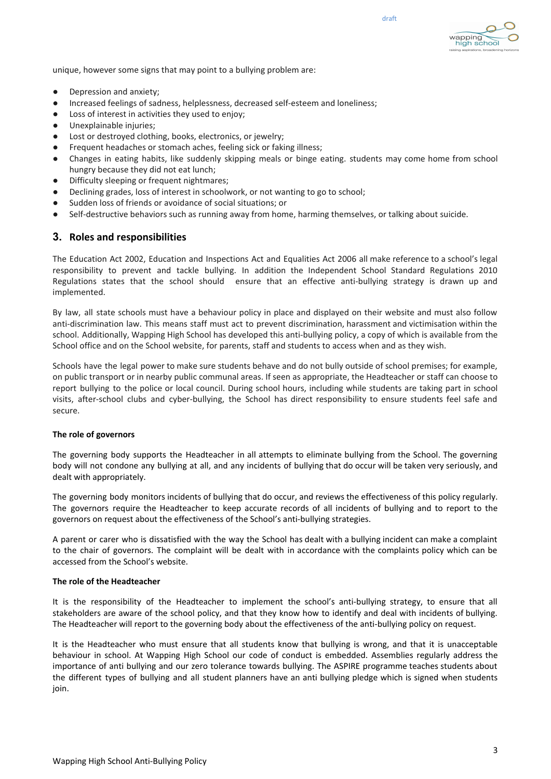

draft

unique, however some signs that may point to a bullying problem are:

- Depression and anxiety;
- Increased feelings of sadness, helplessness, decreased self-esteem and loneliness;
- Loss of interest in activities they used to enjoy;
- Unexplainable injuries;
- Lost or destroyed clothing, books, electronics, or jewelry;
- Frequent headaches or stomach aches, feeling sick or faking illness;
- Changes in eating habits, like suddenly skipping meals or binge eating. students may come home from school hungry because they did not eat lunch;
- Difficulty sleeping or frequent nightmares;
- Declining grades, loss of interest in schoolwork, or not wanting to go to school;
- Sudden loss of friends or avoidance of social situations; or
- Self-destructive behaviors such as running away from home, harming themselves, or talking about suicide.

## **3. Roles and responsibilities**

The Education Act 2002, Education and Inspections Act and Equalities Act 2006 all make reference to a school's legal responsibility to prevent and tackle bullying. In addition the Independent School Standard Regulations 2010 Regulations states that the school should ensure that an effective anti-bullying strategy is drawn up and implemented.

By law, all state schools must have a behaviour policy in place and displayed on their website and must also follow anti-discrimination law. This means staff must act to prevent discrimination, harassment and victimisation within the school. Additionally, Wapping High School has developed this anti-bullying policy, a copy of which is available from the School office and on the School website, for parents, staff and students to access when and as they wish.

Schools have the legal power to make sure students behave and do not bully outside of school premises; for example, on public transport or in nearby public communal areas. If seen as appropriate, the Headteacher or staff can choose to report bullying to the police or local council. During school hours, including while students are taking part in school visits, after-school clubs and cyber-bullying, the School has direct responsibility to ensure students feel safe and secure.

#### **The role of governors**

The governing body supports the Headteacher in all attempts to eliminate bullying from the School. The governing body will not condone any bullying at all, and any incidents of bullying that do occur will be taken very seriously, and dealt with appropriately.

The governing body monitors incidents of bullying that do occur, and reviews the effectiveness of this policy regularly. The governors require the Headteacher to keep accurate records of all incidents of bullying and to report to the governors on request about the effectiveness of the School's anti-bullying strategies.

A parent or carer who is dissatisfied with the way the School has dealt with a bullying incident can make a complaint to the chair of governors. The complaint will be dealt with in accordance with the complaints policy which can be accessed from the School's website.

#### **The role of the Headteacher**

It is the responsibility of the Headteacher to implement the school's anti-bullying strategy, to ensure that all stakeholders are aware of the school policy, and that they know how to identify and deal with incidents of bullying. The Headteacher will report to the governing body about the effectiveness of the anti-bullying policy on request.

It is the Headteacher who must ensure that all students know that bullying is wrong, and that it is unacceptable behaviour in school. At Wapping High School our code of conduct is embedded. Assemblies regularly address the importance of anti bullying and our zero tolerance towards bullying. The ASPIRE programme teaches students about the different types of bullying and all student planners have an anti bullying pledge which is signed when students join.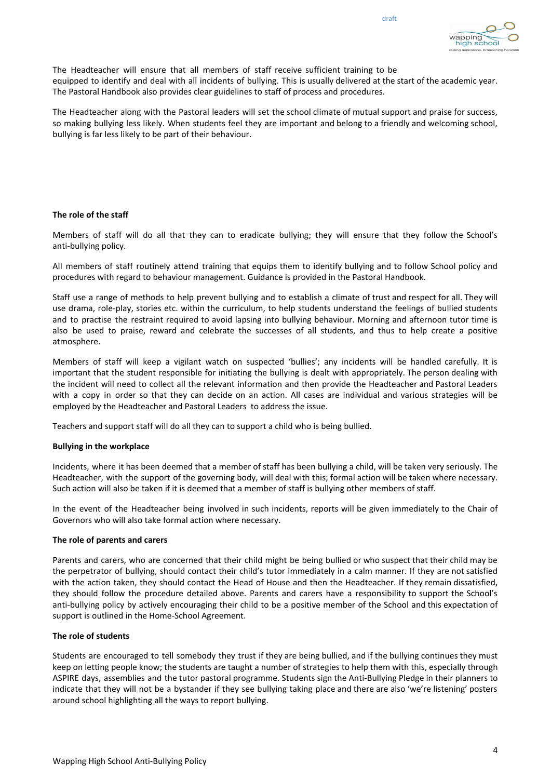

The Headteacher will ensure that all members of staff receive sufficient training to be equipped to identify and deal with all incidents of bullying. This is usually delivered at the start of the academic year. The Pastoral Handbook also provides clear guidelines to staff of process and procedures.

The Headteacher along with the Pastoral leaders will set the school climate of mutual support and praise for success, so making bullying less likely. When students feel they are important and belong to a friendly and welcoming school, bullying is far less likely to be part of their behaviour.

#### **The role of the staff**

Members of staff will do all that they can to eradicate bullying; they will ensure that they follow the School's anti-bullying policy.

All members of staff routinely attend training that equips them to identify bullying and to follow School policy and procedures with regard to behaviour management. Guidance is provided in the Pastoral Handbook.

Staff use a range of methods to help prevent bullying and to establish a climate of trust and respect for all. They will use drama, role-play, stories etc. within the curriculum, to help students understand the feelings of bullied students and to practise the restraint required to avoid lapsing into bullying behaviour. Morning and afternoon tutor time is also be used to praise, reward and celebrate the successes of all students, and thus to help create a positive atmosphere.

Members of staff will keep a vigilant watch on suspected 'bullies'; any incidents will be handled carefully. It is important that the student responsible for initiating the bullying is dealt with appropriately. The person dealing with the incident will need to collect all the relevant information and then provide the Headteacher and Pastoral Leaders with a copy in order so that they can decide on an action. All cases are individual and various strategies will be employed by the Headteacher and Pastoral Leaders to address the issue.

Teachers and support staff will do all they can to support a child who is being bullied.

#### **Bullying in the workplace**

Incidents, where it has been deemed that a member of staff has been bullying a child, will be taken very seriously. The Headteacher, with the support of the governing body, will deal with this; formal action will be taken where necessary. Such action will also be taken if it is deemed that a member of staff is bullying other members of staff.

In the event of the Headteacher being involved in such incidents, reports will be given immediately to the Chair of Governors who will also take formal action where necessary.

#### **The role of parents and carers**

Parents and carers, who are concerned that their child might be being bullied or who suspect that their child may be the perpetrator of bullying, should contact their child's tutor immediately in a calm manner. If they are not satisfied with the action taken, they should contact the Head of House and then the Headteacher. If they remain dissatisfied, they should follow the procedure detailed above. Parents and carers have a responsibility to support the School's anti-bullying policy by actively encouraging their child to be a positive member of the School and this expectation of support is outlined in the Home-School Agreement.

#### **The role of students**

Students are encouraged to tell somebody they trust if they are being bullied, and if the bullying continues they must keep on letting people know; the students are taught a number of strategies to help them with this, especially through ASPIRE days, assemblies and the tutor pastoral programme. Students sign the Anti-Bullying Pledge in their planners to indicate that they will not be a bystander if they see bullying taking place and there are also 'we're listening' posters around school highlighting all the ways to report bullying.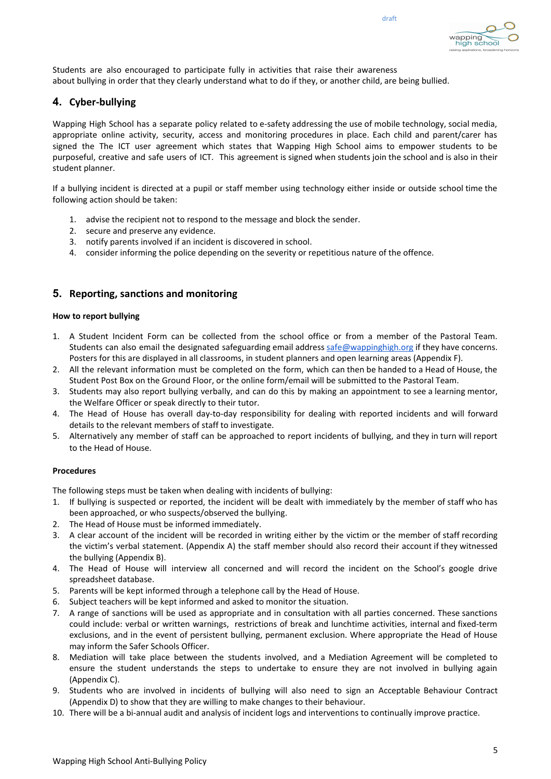

Students are also encouraged to participate fully in activities that raise their awareness about bullying in order that they clearly understand what to do if they, or another child, are being bullied.

# **4. Cyber-bullying**

Wapping High School has a separate policy related to e-safety addressing the use of mobile technology, social media, appropriate online activity, security, access and monitoring procedures in place. Each child and parent/carer has signed the The ICT user agreement which states that Wapping High School aims to empower students to be purposeful, creative and safe users of ICT. This agreement is signed when students join the school and is also in their student planner.

If a bullying incident is directed at a pupil or staff member using technology either inside or outside school time the following action should be taken:

- 1. advise the recipient not to respond to the message and block the sender.
- 2. secure and preserve any evidence.
- 3. notify parents involved if an incident is discovered in school.
- 4. consider informing the police depending on the severity or repetitious nature of the offence.

# **5. Reporting, sanctions and monitoring**

## **How to report bullying**

- 1. A Student Incident Form can be collected from the school office or from a member of the Pastoral Team. Students can also email the designated safeguarding email address [safe@wappinghigh.org](mailto:safe@wappinghigh.org) if they have concerns. Posters for this are displayed in all classrooms, in student planners and open learning areas (Appendix F).
- 2. All the relevant information must be completed on the form, which can then be handed to a Head of House, the Student Post Box on the Ground Floor, or the online form/email will be submitted to the Pastoral Team.
- 3. Students may also report bullying verbally, and can do this by making an appointment to see a learning mentor, the Welfare Officer or speak directly to their tutor.
- 4. The Head of House has overall day-to-day responsibility for dealing with reported incidents and will forward details to the relevant members of staff to investigate.
- 5. Alternatively any member of staff can be approached to report incidents of bullying, and they in turn will report to the Head of House.

## **Procedures**

The following steps must be taken when dealing with incidents of bullying:

- 1. If bullying is suspected or reported, the incident will be dealt with immediately by the member of staff who has been approached, or who suspects/observed the bullying.
- 2. The Head of House must be informed immediately.
- 3. A clear account of the incident will be recorded in writing either by the victim or the member of staff recording the victim's verbal statement. (Appendix A) the staff member should also record their account if they witnessed the bullying (Appendix B).
- 4. The Head of House will interview all concerned and will record the incident on the School's google drive spreadsheet database.
- 5. Parents will be kept informed through a telephone call by the Head of House.
- 6. Subject teachers will be kept informed and asked to monitor the situation.
- 7. A range of sanctions will be used as appropriate and in consultation with all parties concerned. These sanctions could include: verbal or written warnings, restrictions of break and lunchtime activities, internal and fixed-term exclusions, and in the event of persistent bullying, permanent exclusion. Where appropriate the Head of House may inform the Safer Schools Officer.
- 8. Mediation will take place between the students involved, and a Mediation Agreement will be completed to ensure the student understands the steps to undertake to ensure they are not involved in bullying again (Appendix C).
- 9. Students who are involved in incidents of bullying will also need to sign an Acceptable Behaviour Contract (Appendix D) to show that they are willing to make changes to their behaviour.
- 10. There will be a bi-annual audit and analysis of incident logs and interventions to continually improve practice.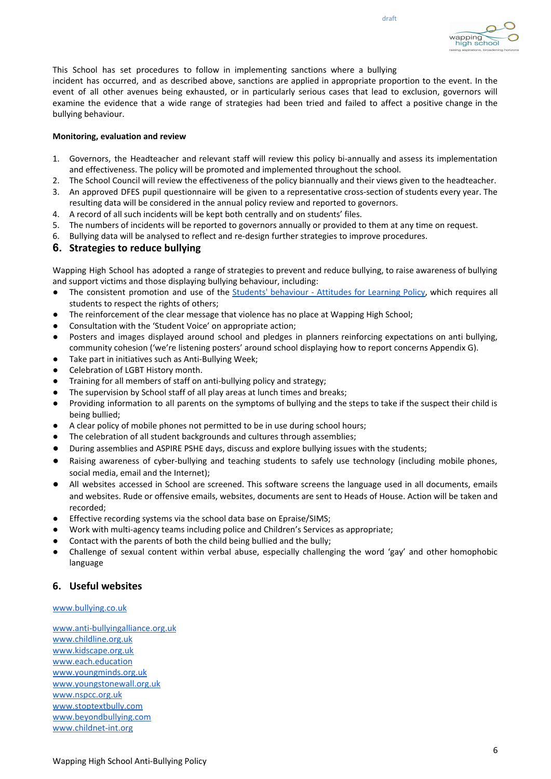

This School has set procedures to follow in implementing sanctions where a bullying

incident has occurred, and as described above, sanctions are applied in appropriate proportion to the event. In the event of all other avenues being exhausted, or in particularly serious cases that lead to exclusion, governors will examine the evidence that a wide range of strategies had been tried and failed to affect a positive change in the bullying behaviour.

#### **Monitoring, evaluation and review**

- 1. Governors, the Headteacher and relevant staff will review this policy bi-annually and assess its implementation and effectiveness. The policy will be promoted and implemented throughout the school.
- 2. The School Council will review the effectiveness of the policy biannually and their views given to the headteacher.
- 3. An approved DFES pupil questionnaire will be given to a representative cross-section of students every year. The resulting data will be considered in the annual policy review and reported to governors.
- 4. A record of all such incidents will be kept both centrally and on students' files.
- 5. The numbers of incidents will be reported to governors annually or provided to them at any time on request.
- 6. Bullying data will be analysed to reflect and re-design further strategies to improve procedures.

# **6. Strategies to reduce bullying**

Wapping High School has adopted a range of strategies to prevent and reduce bullying, to raise awareness of bullying and support victims and those displaying bullying behaviour, including:

- The consistent promotion and use of the Students' [behaviour](https://docs.google.com/document/d/1ELVO4YPvdZ4os9ObG6W4OVlP9cGc6Ki5jdCX1BX_x8k/edit?ts=5e55084e) Attitudes for Learning Policy, which requires all students to respect the rights of others;
- The reinforcement of the clear message that violence has no place at Wapping High School;
- Consultation with the 'Student Voice' on appropriate action;
- Posters and images displayed around school and pledges in planners reinforcing expectations on anti bullying, community cohesion ('we're listening posters' around school displaying how to report concerns Appendix G).
- Take part in initiatives such as Anti-Bullying Week;
- Celebration of LGBT History month.
- Training for all members of staff on anti-bullying policy and strategy;
- The supervision by School staff of all play areas at lunch times and breaks;
- Providing information to all parents on the symptoms of bullying and the steps to take if the suspect their child is being bullied;
- A clear policy of mobile phones not permitted to be in use during school hours;
- The celebration of all student backgrounds and cultures through assemblies;
- During assemblies and ASPIRE PSHE days, discuss and explore bullying issues with the students;
- Raising awareness of cyber-bullying and teaching students to safely use technology (including mobile phones, social media, email and the Internet);
- All websites accessed in School are screened. This software screens the language used in all documents, emails and websites. Rude or offensive emails, websites, documents are sent to Heads of House. Action will be taken and recorded;
- Effective recording systems via the school data base on Epraise/SIMS;
- Work with multi-agency teams including police and Children's Services as appropriate;
- Contact with the parents of both the child being bullied and the bully;
- Challenge of sexual content within verbal abuse, especially challenging the word 'gay' and other homophobic language

## **6. Useful websites**

#### [www.bullying.co.uk](http://www.bullying.co.uk/)

[www.anti-bullyingalliance.org.uk](http://www.anti-bullyingalliance.org.uk/) [www.childline.org.uk](http://www.childline.org.uk/) [www.kidscape.org.uk](http://www.kidscape.org.uk/) [www.each.education](http://www.each.education/) [www.youngminds.org.uk](http://www.youngminds.org.uk/) [www.youngstonewall.org.uk](http://www.youngstonewall.org.uk/) [www.nspcc.org.uk](http://www.nspcc.org.uk/) [www.stoptextbully.com](http://www.stoptextbully.com/) [www.beyondbullying.com](http://www.beyondbullying.com/) [www.childnet-int.org](http://www.childnet-int.org/)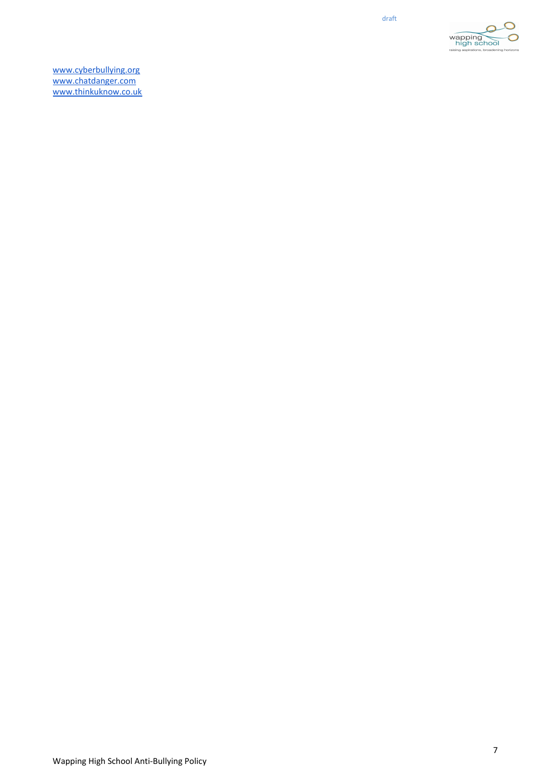

draft

[www.cyberbullying.org](http://www.cyberbullying.org/) [www.chatdanger.com](http://www.chatdanger.com/) [www.thinkuknow.co.uk](http://www.thinkuknow.co.uk/)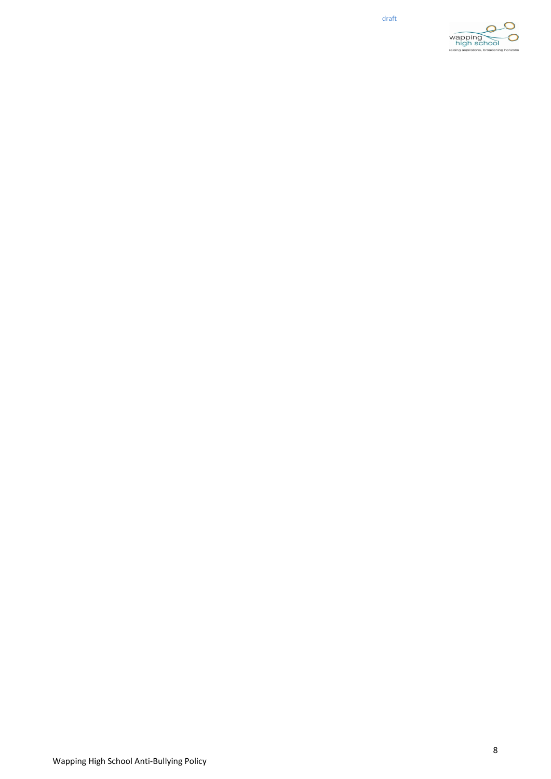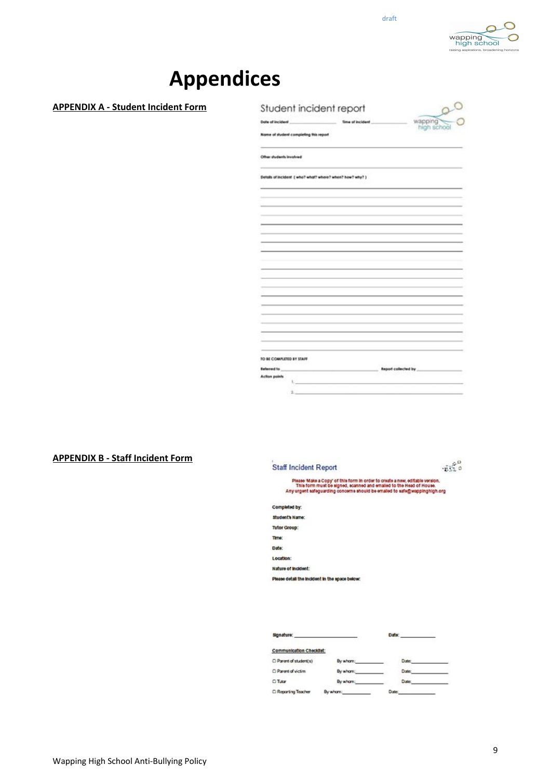



# **Appendices**

# **APPENDIX A - Student Incident Form**

|                                           | Student incident report                                   |                                                             |                   |            |
|-------------------------------------------|-----------------------------------------------------------|-------------------------------------------------------------|-------------------|------------|
| Date of incident                          |                                                           | <b>Time of incident</b>                                     | wapping           |            |
|                                           | Name of sludent completing this report                    |                                                             |                   | high schoo |
| Other students involved                   |                                                           |                                                             |                   |            |
|                                           | Details of incident ( who? what? where? when? how? why? ) |                                                             |                   |            |
|                                           |                                                           |                                                             |                   |            |
|                                           |                                                           |                                                             |                   |            |
|                                           |                                                           |                                                             |                   |            |
|                                           |                                                           |                                                             |                   |            |
|                                           |                                                           |                                                             |                   |            |
|                                           |                                                           |                                                             |                   |            |
|                                           |                                                           |                                                             |                   |            |
|                                           |                                                           |                                                             |                   |            |
|                                           |                                                           |                                                             |                   |            |
| TO BE COMPLETED BY STAFF<br>Referred to _ |                                                           | the control of the control of the control of the control of | tepod colected by |            |
| <b>Action points</b>                      | Ł.                                                        |                                                             |                   |            |
|                                           | 2                                                         |                                                             |                   |            |

## **APPENDIX B - Staff Incident Form**

| <b>Staff Incident Report</b>                                                                                                                                                                                                       |  |
|------------------------------------------------------------------------------------------------------------------------------------------------------------------------------------------------------------------------------------|--|
| Please 'Make a Copy' of this form in order to create a new, editable version.<br>This form must be signed, scanned and emailed to the Head of House.<br>Any urgent safeguarding concerns should be emailed to safe@wappinghigh.org |  |
| Completed by:                                                                                                                                                                                                                      |  |
| <b>Student's Name:</b>                                                                                                                                                                                                             |  |
| <b>Tutor Group:</b>                                                                                                                                                                                                                |  |
| Time:                                                                                                                                                                                                                              |  |
| Date:                                                                                                                                                                                                                              |  |
| Location:                                                                                                                                                                                                                          |  |
| Nature of Incident:                                                                                                                                                                                                                |  |
| Please detail the incident in the space below:                                                                                                                                                                                     |  |
|                                                                                                                                                                                                                                    |  |
|                                                                                                                                                                                                                                    |  |
|                                                                                                                                                                                                                                    |  |

| Signature:               |          | Date: |  |
|--------------------------|----------|-------|--|
| Communication Checklist: |          |       |  |
| () Parent of student(s)  | By whom: | Date: |  |
| D Parent of victim.      | By whom: | Date: |  |
| O Tutor                  | By whom: | Date: |  |
| C Reporting Teacher      | By whom: | Date: |  |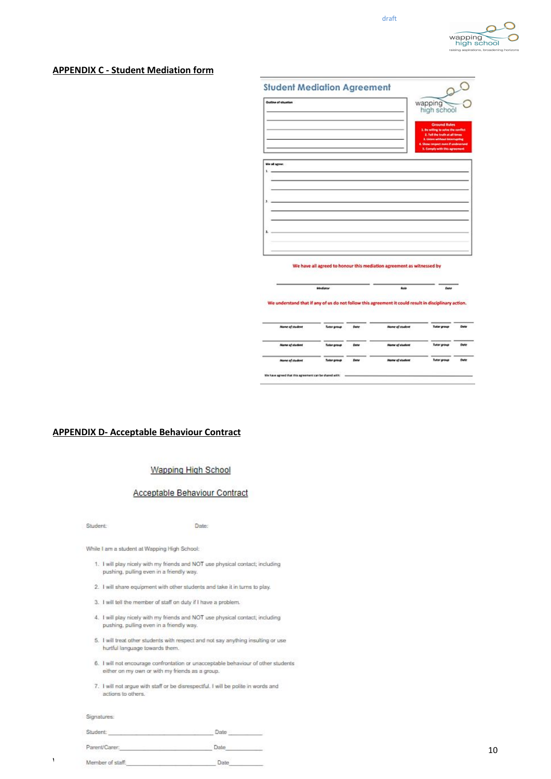



## **APPENDIX C - Student Mediation form**

| wapping<br>high school                                                                                                                                                                                |
|-------------------------------------------------------------------------------------------------------------------------------------------------------------------------------------------------------|
| <b>Ground Rules</b><br>1. Be willing to selve the conflict<br>2. Tell the truth at all times<br>3. Listen without listensative<br>6. Show respect even if undetermed<br>5. Comply with this agreement |
|                                                                                                                                                                                                       |
|                                                                                                                                                                                                       |
|                                                                                                                                                                                                       |
|                                                                                                                                                                                                       |

#### We have all agreed to honour this mediation agreement as witnessed by

| <b>Mediator</b>                                        |             | <b>Bale</b> | <b>Curre</b>                                                                                         |                    |             |
|--------------------------------------------------------|-------------|-------------|------------------------------------------------------------------------------------------------------|--------------------|-------------|
|                                                        |             |             | We understand that if any of us do not follow this agreement it could result in disciplinary action. |                    |             |
| Name of student                                        | Tussi preup | Dete        | Name of student                                                                                      | Tutar proup        | <b>Dety</b> |
| Name of student                                        | Tular proup | Dene        | <b>Name of student</b>                                                                               | Tubar group        |             |
| <b>Mone of student</b>                                 | Tutor group | <b>Date</b> | <b>Name of student</b>                                                                               | <b>Tutar prose</b> | <b>Oute</b> |
| We have agreed that this agreement can be shared with: |             |             |                                                                                                      |                    |             |

## **APPENDIX D- Acceptable Behaviour Contract**

#### Wapping High School

i.

#### **Acceptable Behaviour Contract**

Date:

Student:

While I am a student at Wapping High School:

- 1. I will play nicely with my friends and NOT use physical contact; including pushing, pulling even in a friendly way.
- 2. I will share equipment with other students and take it in turns to play.
- 3. I will tell the member of staff on duty if I have a problem.
- 4. I will play nicely with my friends and NOT use physical contact; including pushing, pulling even in a friendly way.
- 5. I will treat other students with respect and not say anything insulting or use hurtful language towards them.
- 6. I will not encourage confrontation or unacceptable behaviour of other students either on my own or with my friends as a group.
- 7. I will not argue with staff or be disrespectful. I will be polite in words and actions to others.

Signatures:

| Student:                                        | Oate: |
|-------------------------------------------------|-------|
| Parent/Carer:<br>to a company supervisor of the |       |
| Member of staff:                                |       |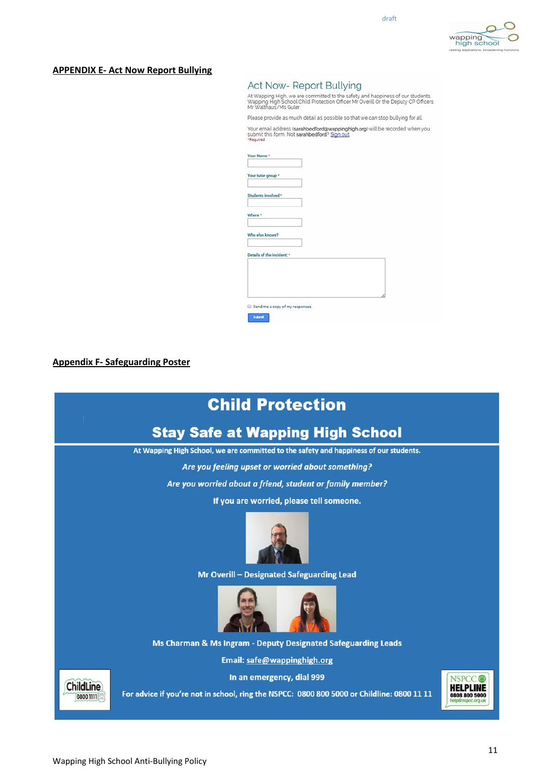

## **APPENDIX E- Act Now Report Bullying**

# Act Now- Report Bullying

At Wapping High, we are committed to the safety and happiness of our students.<br>Wapping High School Child Protection Officer Mr Overill Or the Deputy CP Officers<br>Mr Walthaus/Ms Guler.

draft

Please provide as much detail as possible so that we can stop bullying for all.

Prease provide as much detail as possible so that we can stop buttying to all.<br>Your email address (sarahbedford@wappinghigh.org) will be recorded when you<br>submit this form. Not sarahbedford? Sign out

| Your Name *                         |  |  |
|-------------------------------------|--|--|
| Your tutor group *                  |  |  |
| Students involved *                 |  |  |
| Where *                             |  |  |
| Who else knows?                     |  |  |
| Details of the incident: *          |  |  |
|                                     |  |  |
| [i] Send me a copy of my responses. |  |  |
| Submit                              |  |  |

## **Appendix F- Safeguarding Poster**